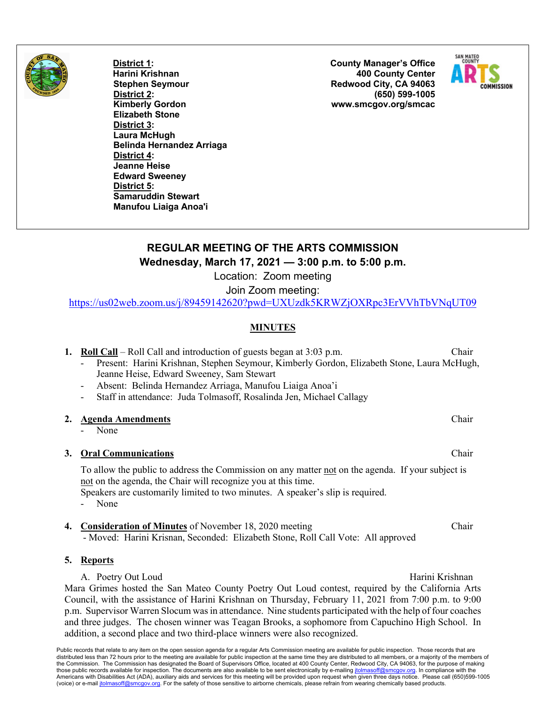

**District 1: Harini Krishnan Stephen Seymour District 2: Kimberly Gordon Elizabeth Stone District 3: Laura McHugh Belinda Hernandez Arriaga District 4: Jeanne Heise Edward Sweeney District 5: Samaruddin Stewart Manufou Liaiga Anoa'i**

**County Manager's Office 400 County Center Redwood City, CA 94063 (650) 599-1005 www.smcgov.org/smcac**



# **REGULAR MEETING OF THE ARTS COMMISSION Wednesday, March 17, 2021 — 3:00 p.m. to 5:00 p.m.**

Location: Zoom meeting

Join Zoom meeting:

https://us02web.zoom.us/j/89459142620?pwd=UXUzdk5KRWZjOXRpc3ErVVhTbVNqUT09

# **MINUTES**

|  |  |  |  | <b>1. Roll Call</b> – Roll Call and introduction of guests began at 3:03 p.m. | Chair |  |
|--|--|--|--|-------------------------------------------------------------------------------|-------|--|
|--|--|--|--|-------------------------------------------------------------------------------|-------|--|

### Present: Harini Krishnan, Stephen Seymour, Kimberly Gordon, Elizabeth Stone, Laura McHugh, Jeanne Heise, Edward Sweeney, Sam Stewart

- Absent: Belinda Hernandez Arriaga, Manufou Liaiga Anoa'i
- Staff in attendance: Juda Tolmasoff, Rosalinda Jen, Michael Callagy

### **2. Agenda Amendments** Chair

None

# **3. Oral Communications** Chair

To allow the public to address the Commission on any matter not on the agenda. If your subject is not on the agenda, the Chair will recognize you at this time. Speakers are customarily limited to two minutes. A speaker's slip is required.

- None
- **4. Consideration of Minutes** of November 18, 2020 meeting Chair - Moved: Harini Krisnan, Seconded: Elizabeth Stone, Roll Call Vote: All approved

# **5. Reports**

A. Poetry Out Loud **Harini Krishnan** Mara Grimes hosted the San Mateo County Poetry Out Loud contest, required by the California Arts Council, with the assistance of Harini Krishnan on Thursday, February 11, 2021 from 7:00 p.m. to 9:00 p.m. Supervisor Warren Slocum was in attendance. Nine students participated with the help of four coaches and three judges. The chosen winner was Teagan Brooks, a sophomore from Capuchino High School. In addition, a second place and two third-place winners were also recognized.

Public records that relate to any item on the open session agenda for a regular Arts Commission meeting are available for public inspection. Those records that are distributed less than 72 hours prior to the meeting are available for public inspection at the same time they are distributed to all members, or a majority of the members of the Commission. The Commission has designated the Board of Supervisors Office, located at 400 County Center, Redwood City, CA 94063, for the purpose of making those public records available for inspection. The documents are also available to be sent electronically by e-mailing jtolmasoff@smcgov.org. In compliance with the Americans with Disabilities Act (ADA), auxiliary aids and services for this meeting will be provided upon request when given three days notice. Please call (650)599-1005 (voice) or e-mail jtolmasoff@smcgov.org. For the safety of those sensitive to airborne chemicals, please refrain from wearing chemically based products.